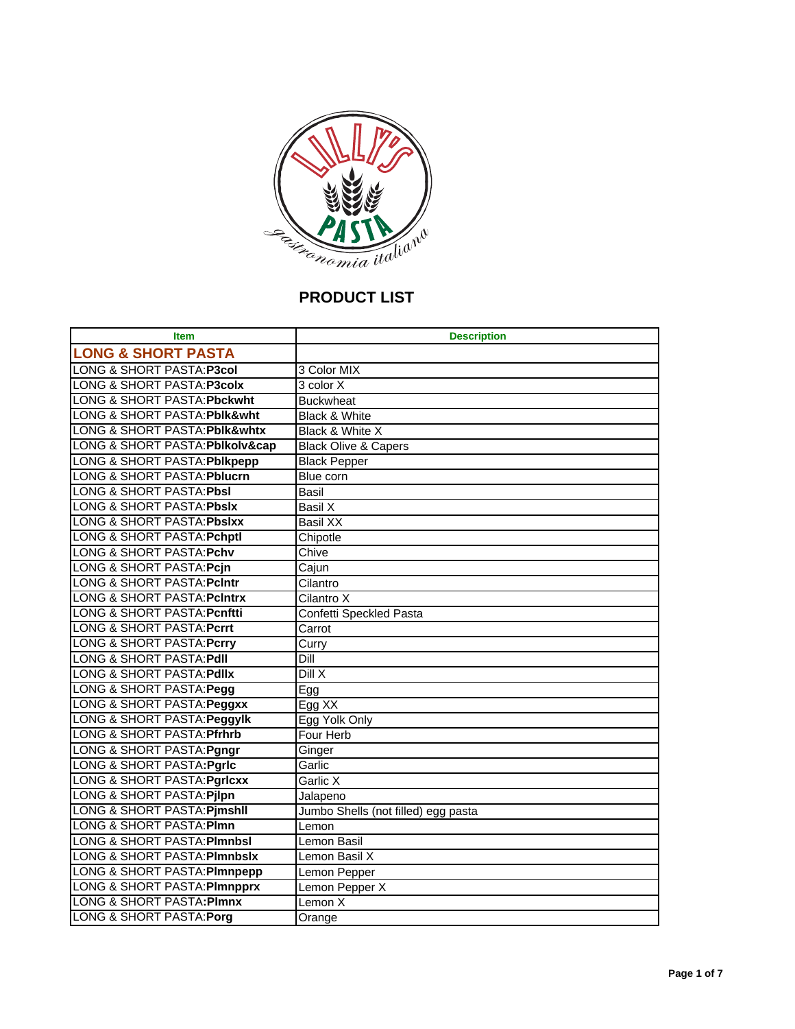

# **PRODUCT LIST**

| <b>Item</b>                             | <b>Description</b>                  |
|-----------------------------------------|-------------------------------------|
| <b>LONG &amp; SHORT PASTA</b>           |                                     |
| LONG & SHORT PASTA: P3col               | 3 Color MIX                         |
| LONG & SHORT PASTA: P3colx              | 3 color X                           |
| <b>LONG &amp; SHORT PASTA: Pbckwht</b>  | <b>Buckwheat</b>                    |
| LONG & SHORT PASTA: Pblk&wht            | <b>Black &amp; White</b>            |
| LONG & SHORT PASTA: Pblk&whtx           | Black & White X                     |
| LONG & SHORT PASTA: Pblkolv∩            | <b>Black Olive &amp; Capers</b>     |
| LONG & SHORT PASTA: Pblkpepp            | <b>Black Pepper</b>                 |
| <b>LONG &amp; SHORT PASTA: Pblucrn</b>  | Blue corn                           |
| <b>LONG &amp; SHORT PASTA: Pbsl</b>     | Basil                               |
| <b>LONG &amp; SHORT PASTA: Pbslx</b>    | Basil X                             |
| LONG & SHORT PASTA: Pbslxx              | <b>Basil XX</b>                     |
| <b>LONG &amp; SHORT PASTA: Pchptl</b>   | Chipotle                            |
| <b>LONG &amp; SHORT PASTA: Pchv</b>     | Chive                               |
| LONG & SHORT PASTA: Pcjn                | Cajun                               |
| <b>LONG &amp; SHORT PASTA: PcIntr</b>   | Cilantro                            |
| LONG & SHORT PASTA: PcIntrx             | Cilantro X                          |
| <b>LONG &amp; SHORT PASTA: Pcnftti</b>  | Confetti Speckled Pasta             |
| <b>LONG &amp; SHORT PASTA: Pcrrt</b>    | Carrot                              |
| <b>LONG &amp; SHORT PASTA: Pcrry</b>    | Curry                               |
| <b>LONG &amp; SHORT PASTA: Pdll</b>     | Dill                                |
| LONG & SHORT PASTA: Pdllx               | $\overline{D}$ ill X                |
| LONG & SHORT PASTA: Pegg                | Egg                                 |
| LONG & SHORT PASTA: Peggxx              | Egg XX                              |
| LONG & SHORT PASTA: Peggylk             | Egg Yolk Only                       |
| LONG & SHORT PASTA: Pfrhrb              | Four Herb                           |
| LONG & SHORT PASTA: Pgngr               | Ginger                              |
| LONG & SHORT PASTA: Pgrlc               | Garlic                              |
| <b>LONG &amp; SHORT PASTA: Pgricxx</b>  | Garlic X                            |
| <b>LONG &amp; SHORT PASTA: Pjlpn</b>    | Jalapeno                            |
| <b>LONG &amp; SHORT PASTA: Pjmshll</b>  | Jumbo Shells (not filled) egg pasta |
| <b>LONG &amp; SHORT PASTA: PImn</b>     | Lemon                               |
| <b>LONG &amp; SHORT PASTA: PImnbsI</b>  | Lemon Basil                         |
| <b>LONG &amp; SHORT PASTA: PImnbsix</b> | Lemon Basil X                       |
| LONG & SHORT PASTA: PImnpepp            | Lemon Pepper                        |
| <b>LONG &amp; SHORT PASTA: PImnpprx</b> | Lemon Pepper X                      |
| LONG & SHORT PASTA: PImnx               | Lemon X                             |
| LONG & SHORT PASTA: Porg                | Orange                              |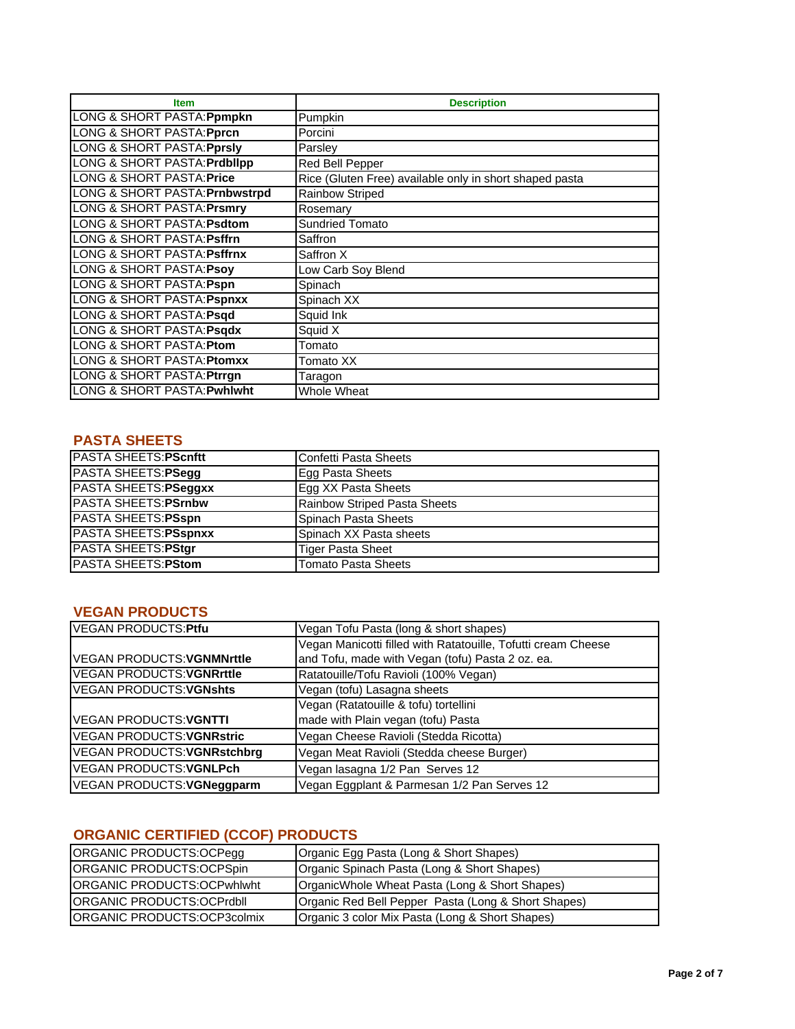| <b>Item</b>                             | <b>Description</b>                                      |
|-----------------------------------------|---------------------------------------------------------|
| LONG & SHORT PASTA: Ppmpkn              | Pumpkin                                                 |
| LONG & SHORT PASTA: <b>Pprcn</b>        | Porcini                                                 |
| LONG & SHORT PASTA: Pprsly              | Parsley                                                 |
| <b>LONG &amp; SHORT PASTA: Prdblipp</b> | Red Bell Pepper                                         |
| LONG & SHORT PASTA: <b>Price</b>        | Rice (Gluten Free) available only in short shaped pasta |
| LONG & SHORT PASTA: Prnbwstrpd          | <b>Rainbow Striped</b>                                  |
| LONG & SHORT PASTA: Prsmry              | Rosemary                                                |
| LONG & SHORT PASTA: Psdtom              | <b>Sundried Tomato</b>                                  |
| LONG & SHORT PASTA: <b>Psffrn</b>       | Saffron                                                 |
| LONG & SHORT PASTA: Psffrnx             | Saffron X                                               |
| <b>LONG &amp; SHORT PASTA: Psoy</b>     | Low Carb Soy Blend                                      |
| LONG & SHORT PASTA: Pspn                | Spinach                                                 |
| LONG & SHORT PASTA: Pspnxx              | Spinach XX                                              |
| LONG & SHORT PASTA: Psqd                | Squid Ink                                               |
| LONG & SHORT PASTA: Psqdx               | Squid X                                                 |
| LONG & SHORT PASTA: Ptom                | Tomato                                                  |
| LONG & SHORT PASTA: Ptomxx              | Tomato XX                                               |
| LONG & SHORT PASTA: Ptrrgn              | Taragon                                                 |
| LONG & SHORT PASTA: Pwhlwht             | Whole Wheat                                             |

### **PASTA SHEETS**

| <b>PASTA SHEETS: PScnftt</b> | <b>IConfetti Pasta Sheets</b> |
|------------------------------|-------------------------------|
| PASTA SHEETS: PSegg          | Egg Pasta Sheets              |
| PASTA SHEETS: PSeggxx        | Egg XX Pasta Sheets           |
| <b>PASTA SHEETS: PSrnbw</b>  | Rainbow Striped Pasta Sheets  |
| PASTA SHEETS: PSspn          | Spinach Pasta Sheets          |
| PASTA SHEETS: PSspnxx        | Spinach XX Pasta sheets       |
| PASTA SHEETS: PStgr          | <b>Tiger Pasta Sheet</b>      |
| <b>IPASTA SHEETS:PStom</b>   | <b>Tomato Pasta Sheets</b>    |

## **VEGAN PRODUCTS**

| VEGAN PRODUCTS: Ptfu              | Vegan Tofu Pasta (long & short shapes)                        |
|-----------------------------------|---------------------------------------------------------------|
|                                   | Vegan Manicotti filled with Ratatouille, Tofutti cream Cheese |
| VEGAN PRODUCTS: <b>VGNMNrttle</b> | and Tofu, made with Vegan (tofu) Pasta 2 oz. ea.              |
| <b>VEGAN PRODUCTS:VGNRrttle</b>   | Ratatouille/Tofu Ravioli (100% Vegan)                         |
| <b>VEGAN PRODUCTS: VGNshts</b>    | Vegan (tofu) Lasagna sheets                                   |
|                                   | Vegan (Ratatouille & tofu) tortellini                         |
| VEGAN PRODUCTS: <b>VGNTTI</b>     | made with Plain vegan (tofu) Pasta                            |
| <b>VEGAN PRODUCTS: VGNRstric</b>  | Vegan Cheese Ravioli (Stedda Ricotta)                         |
| VEGAN PRODUCTS: VGNRstchbrg       | Vegan Meat Ravioli (Stedda cheese Burger)                     |
| <b>VEGAN PRODUCTS: VGNLPch</b>    | Vegan lasagna 1/2 Pan Serves 12                               |
| VEGAN PRODUCTS: VGNeggparm        | Vegan Eggplant & Parmesan 1/2 Pan Serves 12                   |

# **ORGANIC CERTIFIED (CCOF) PRODUCTS**

| ORGANIC PRODUCTS:OCPegg             | Organic Egg Pasta (Long & Short Shapes)             |
|-------------------------------------|-----------------------------------------------------|
| ORGANIC PRODUCTS:OCPSpin            | Organic Spinach Pasta (Long & Short Shapes)         |
| IORGANIC PRODUCTS:OCPwhlwht         | OrganicWhole Wheat Pasta (Long & Short Shapes)      |
| <b>ORGANIC PRODUCTS:OCPrdbll</b>    | Organic Red Bell Pepper Pasta (Long & Short Shapes) |
| <b>IORGANIC PRODUCTS:OCP3colmix</b> | Organic 3 color Mix Pasta (Long & Short Shapes)     |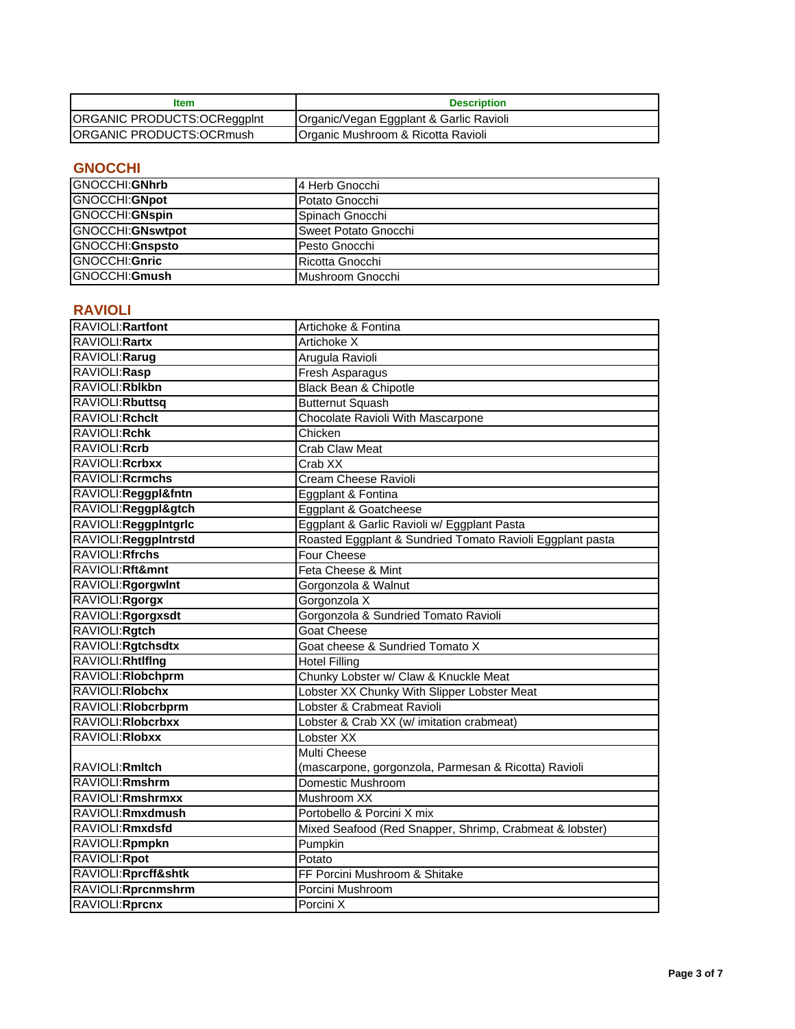| ltem                               | <b>Description</b>                      |
|------------------------------------|-----------------------------------------|
| <b>ORGANIC PRODUCTS:OCReggpInt</b> | Organic/Vegan Eggplant & Garlic Ravioli |
| <b>ORGANIC PRODUCTS:OCRmush</b>    | Organic Mushroom & Ricotta Ravioli      |

### **GNOCCHI**

| GNOCCHI:GNhrb            | l4 Herb Gnocchi         |
|--------------------------|-------------------------|
| GNOCCHI:GNpot            | Potato Gnocchi          |
| GNOCCHI:GNspin           | <b>ISpinach Gnocchi</b> |
| <b>GNOCCHI:</b> GNswtpot | Sweet Potato Gnocchi    |
| GNOCCHI: Gnspsto         | Pesto Gnocchi           |
| GNOCCHI:Gnric            | Ricotta Gnocchi         |
| GNOCCHI:Gmush            | Mushroom Gnocchi        |

### **RAVIOLI**

| RAVIOLI: Rartfont     | Artichoke & Fontina                                       |
|-----------------------|-----------------------------------------------------------|
| RAVIOLI: Rartx        | Artichoke X                                               |
| RAVIOLI: Rarug        | Arugula Ravioli                                           |
| RAVIOLI:Rasp          | <b>Fresh Asparagus</b>                                    |
| RAVIOLI: Rblkbn       | <b>Black Bean &amp; Chipotle</b>                          |
| RAVIOLI: Rbuttsq      | <b>Butternut Squash</b>                                   |
| RAVIOLI: Rchclt       | Chocolate Ravioli With Mascarpone                         |
| RAVIOLI: Rchk         | Chicken                                                   |
| RAVIOLI: Rcrb         | <b>Crab Claw Meat</b>                                     |
| RAVIOLI: Rcrbxx       | Crab XX                                                   |
| RAVIOLI: Rcrmchs      | Cream Cheese Ravioli                                      |
| RAVIOLI:Reggpl&fntn   | Eggplant & Fontina                                        |
| RAVIOLI:Reggpl&gtch   | Eggplant & Goatcheese                                     |
| RAVIOLI: ReggpIntgric | Eggplant & Garlic Ravioli w/ Eggplant Pasta               |
| RAVIOLI:ReggpIntrstd  | Roasted Eggplant & Sundried Tomato Ravioli Eggplant pasta |
| RAVIOLI: Rfrchs       | Four Cheese                                               |
| RAVIOLI: Rft&mnt      | Feta Cheese & Mint                                        |
| RAVIOLI:Rgorgwint     | Gorgonzola & Walnut                                       |
| RAVIOLI: Rgorgx       | Gorgonzola X                                              |
| RAVIOLI:Rgorgxsdt     | Gorgonzola & Sundried Tomato Ravioli                      |
| RAVIOLI: Rgtch        | <b>Goat Cheese</b>                                        |
| RAVIOLI: Rgtchsdtx    | Goat cheese & Sundried Tomato X                           |
| RAVIOLI: Rhtlflng     | <b>Hotel Filling</b>                                      |
| RAVIOLI: Riobchprm    | Chunky Lobster w/ Claw & Knuckle Meat                     |
| RAVIOLI: Rlobchx      | Lobster XX Chunky With Slipper Lobster Meat               |
| RAVIOLI: Riobcrbprm   | Lobster & Crabmeat Ravioli                                |
| RAVIOLI: Riobcrbxx    | Lobster & Crab XX (w/ imitation crabmeat)                 |
| RAVIOLI: RIobxx       | Lobster XX                                                |
|                       | Multi Cheese                                              |
| RAVIOLI: Rmltch       | (mascarpone, gorgonzola, Parmesan & Ricotta) Ravioli      |
| RAVIOLI: Rmshrm       | Domestic Mushroom                                         |
| RAVIOLI: Rmshrmxx     | Mushroom XX                                               |
| RAVIOLI: Rmxdmush     | Portobello & Porcini X mix                                |
| RAVIOLI: Rmxdsfd      | Mixed Seafood (Red Snapper, Shrimp, Crabmeat & lobster)   |
| RAVIOLI: Rpmpkn       | Pumpkin                                                   |
| RAVIOLI:Rpot          | Potato                                                    |
| RAVIOLI: Rprcff&shtk  | FF Porcini Mushroom & Shitake                             |
| RAVIOLI: Rprcnmshrm   | Porcini Mushroom                                          |
| RAVIOLI: Rprcnx       | Porcini X                                                 |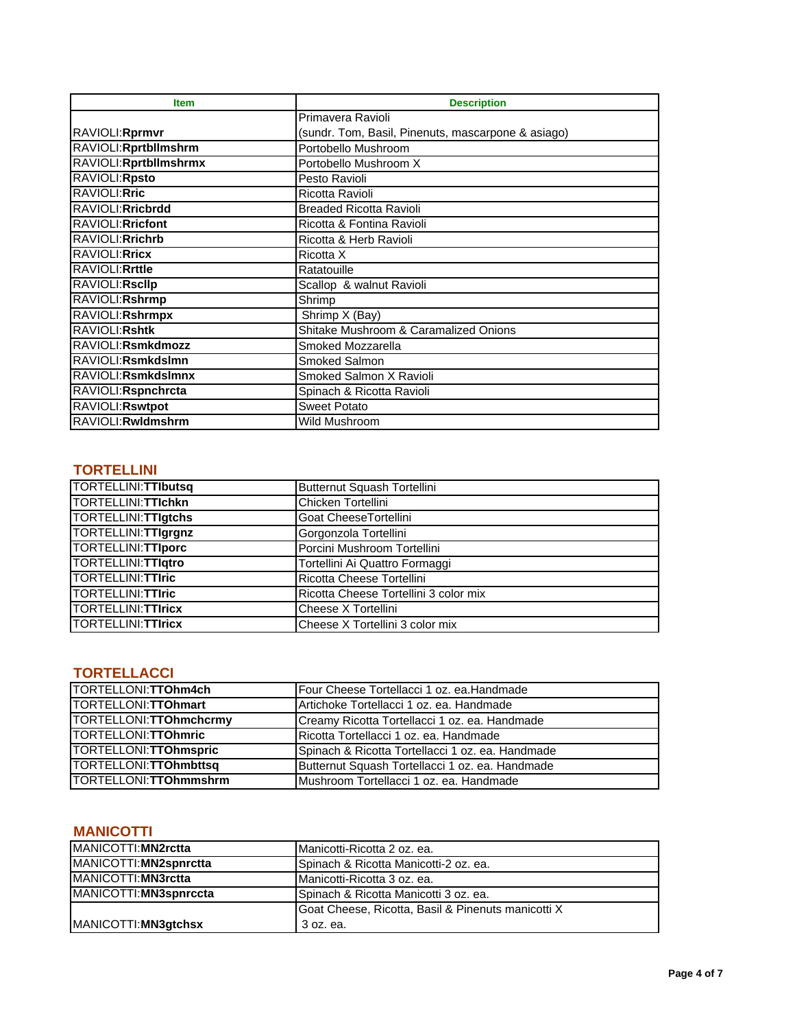| <b>Item</b>            | <b>Description</b>                                 |
|------------------------|----------------------------------------------------|
|                        | Primavera Ravioli                                  |
| RAVIOLI: Rprmvr        | (sundr. Tom, Basil, Pinenuts, mascarpone & asiago) |
| RAVIOLI: Rprtbllmshrm  | Portobello Mushroom                                |
| RAVIOLI: Rprtbllmshrmx | Portobello Mushroom X                              |
| RAVIOLI: Rpsto         | Pesto Ravioli                                      |
| RAVIOLI: Rric          | Ricotta Ravioli                                    |
| RAVIOLI: Rricbrdd      | <b>Breaded Ricotta Ravioli</b>                     |
| RAVIOLI: Rricfont      | Ricotta & Fontina Ravioli                          |
| RAVIOLI: Rrichrb       | Ricotta & Herb Ravioli                             |
| RAVIOLI: Rricx         | Ricotta X                                          |
| RAVIOLI: Rrttle        | Ratatouille                                        |
| RAVIOLI: Rsclip        | Scallop & walnut Ravioli                           |
| RAVIOLI: Rshrmp        | Shrimp                                             |
| RAVIOLI: Rshrmpx       | Shrimp X (Bay)                                     |
| RAVIOLI: Rshtk         | Shitake Mushroom & Caramalized Onions              |
| RAVIOLI:Rsmkdmozz      | Smoked Mozzarella                                  |
| RAVIOLI:Rsmkdslmn      | Smoked Salmon                                      |
| RAVIOLI: Rsmkdslmnx    | Smoked Salmon X Ravioli                            |
| RAVIOLI: Rspnchrcta    | Spinach & Ricotta Ravioli                          |
| RAVIOLI: Rswtpot       | <b>Sweet Potato</b>                                |
| RAVIOLI: Rwldmshrm     | Wild Mushroom                                      |

## **TORTELLINI**

| <b>TORTELLINI: TTIbutsq</b> | Butternut Squash Tortellini           |
|-----------------------------|---------------------------------------|
| TORTELLINI: TTIchkn         | Chicken Tortellini                    |
| <b>TORTELLINI: TTIgtchs</b> | Goat CheeseTortellini                 |
| <b>TORTELLINI: TTIgrgnz</b> | Gorgonzola Tortellini                 |
| TORTELLINI: TTIporc         | Porcini Mushroom Tortellini           |
| <b>TORTELLINI: TTIqtro</b>  | Tortellini Ai Quattro Formaggi        |
| <b>TORTELLINI: TTIric</b>   | Ricotta Cheese Tortellini             |
| <b>TORTELLINI: TTIric</b>   | Ricotta Cheese Tortellini 3 color mix |
| <b>TORTELLINI: TTIricx</b>  | Cheese X Tortellini                   |
| <b>TORTELLINI: TTIricx</b>  | Cheese X Tortellini 3 color mix       |

#### **TORTELLACCI**

| TORTELLONI:TTOhm4ch     | Four Cheese Tortellacci 1 oz. ea. Handmade       |
|-------------------------|--------------------------------------------------|
| TORTELLONI: TTOhmart    | Artichoke Tortellacci 1 oz. ea. Handmade         |
| TORTELLONI: TTOhmchcrmy | Creamy Ricotta Tortellacci 1 oz. ea. Handmade    |
| TORTELLONI: TTOhmric    | Ricotta Tortellacci 1 oz. ea. Handmade           |
| TORTELLONI: TTOhmspric  | Spinach & Ricotta Tortellacci 1 oz. ea. Handmade |
| TORTELLONI: TTOhmbttsq  | Butternut Squash Tortellacci 1 oz. ea. Handmade  |
| TORTELLONI:TTOhmmshrm   | Mushroom Tortellacci 1 oz. ea. Handmade          |

## **MANICOTTI**

| MANICOTTI: MN2rctta    | Manicotti-Ricotta 2 oz. ea.                        |
|------------------------|----------------------------------------------------|
| MANICOTTI: MN2spnrctta | Spinach & Ricotta Manicotti-2 oz. ea.              |
| MANICOTTI: MN3rctta    | IManicotti-Ricotta 3 oz. ea.                       |
| MANICOTTI: MN3spnrccta | Spinach & Ricotta Manicotti 3 oz. ea.              |
|                        | Goat Cheese, Ricotta, Basil & Pinenuts manicotti X |
| MANICOTTI: MN3gtchsx   | 3 oz. ea.                                          |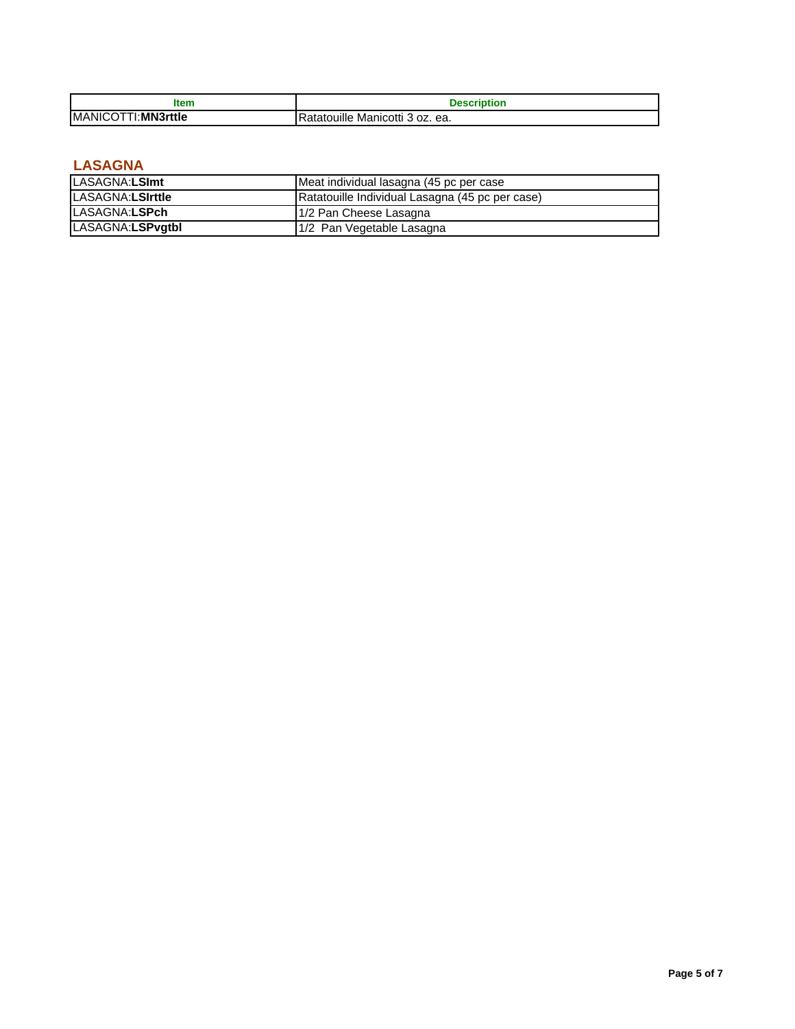| <b>Item</b>                | Description                     |
|----------------------------|---------------------------------|
| <b>IMANICOTTI:MN3rttle</b> | Ratatouille Manicotti 3 oz. ea. |

## **LASAGNA**

| LASAGNA:LSImt    | Meat individual lasagna (45 pc per case         |
|------------------|-------------------------------------------------|
| LASAGNA:LSIrttle | Ratatouille Individual Lasagna (45 pc per case) |
| LASAGNA:LSPch    | 1/2 Pan Cheese Lasagna                          |
| LASAGNA:LSPvgtbl | 1/2 Pan Vegetable Lasagna                       |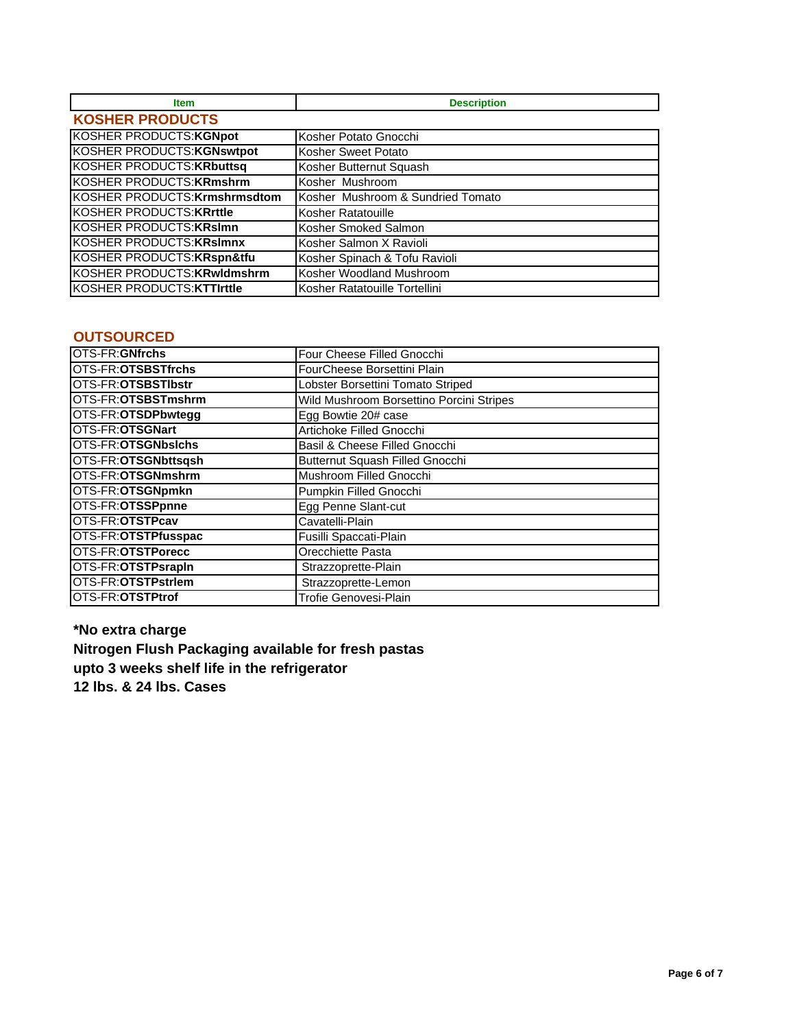| <b>Item</b>                          | <b>Description</b>                |  |
|--------------------------------------|-----------------------------------|--|
| <b>KOSHER PRODUCTS</b>               |                                   |  |
| <b>KOSHER PRODUCTS: KGNpot</b>       | Kosher Potato Gnocchi             |  |
| <b>KOSHER PRODUCTS: KGNswtpot</b>    | Kosher Sweet Potato               |  |
| <b>KOSHER PRODUCTS: KRbuttsq</b>     | Kosher Butternut Squash           |  |
| <b>KOSHER PRODUCTS: KRmshrm</b>      | Kosher Mushroom                   |  |
| <b>KOSHER PRODUCTS: Krmshrmsdtom</b> | Kosher Mushroom & Sundried Tomato |  |
| <b>KOSHER PRODUCTS: KRrttle</b>      | Kosher Ratatouille                |  |
| KOSHER PRODUCTS: KRslmn              | Kosher Smoked Salmon              |  |
| <b>KOSHER PRODUCTS: KRslmnx</b>      | Kosher Salmon X Ravioli           |  |
| KOSHER PRODUCTS: KRspn&tfu           | Kosher Spinach & Tofu Ravioli     |  |
| KOSHER PRODUCTS: KRwldmshrm          | Kosher Woodland Mushroom          |  |
| KOSHER PRODUCTS: KTTIrttle           | Kosher Ratatouille Tortellini     |  |

### **OUTSOURCED**

| OTS-FR:GNfrchs      | Four Cheese Filled Gnocchi               |
|---------------------|------------------------------------------|
| OTS-FR:OTSBSTfrchs  | FourCheese Borsettini Plain              |
| OTS-FR:OTSBSTIbstr  | Lobster Borsettini Tomato Striped        |
| OTS-FR:OTSBSTmshrm  | Wild Mushroom Borsettino Porcini Stripes |
| OTS-FR:OTSDPbwtegg  | Egg Bowtie 20# case                      |
| OTS-FR:OTSGNart     | Artichoke Filled Gnocchi                 |
| OTS-FR:OTSGNbsichs  | Basil & Cheese Filled Gnocchi            |
| OTS-FR:OTSGNbttsgsh | Butternut Squash Filled Gnocchi          |
| OTS-FR:OTSGNmshrm   | Mushroom Filled Gnocchi                  |
| OTS-FR:OTSGNpmkn    | Pumpkin Filled Gnocchi                   |
| OTS-FR:OTSSPpnne    | Egg Penne Slant-cut                      |
| OTS-FR:OTSTPcav     | Cavatelli-Plain                          |
| OTS-FR:OTSTPfusspac | Fusilli Spaccati-Plain                   |
| OTS-FR:OTSTPorecc   | Orecchiette Pasta                        |
| OTS-FR:OTSTPsrapIn  | Strazzoprette-Plain                      |
| OTS-FR:OTSTPstrlem  | Strazzoprette-Lemon                      |
| OTS-FR:OTSTPtrof    | Trofie Genovesi-Plain                    |

**\*No extra charge Nitrogen Flush Packaging available for fresh pastas upto 3 weeks shelf life in the refrigerator 12 lbs. & 24 lbs. Cases**